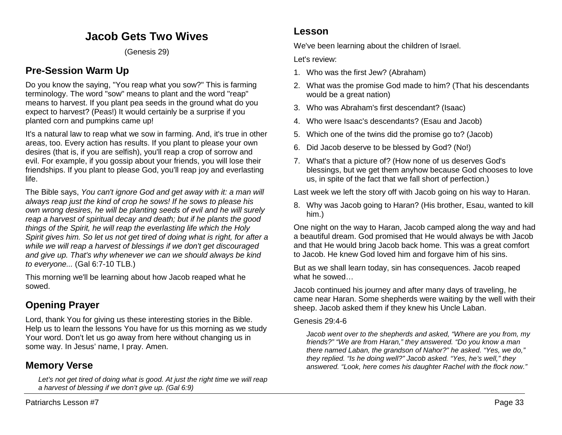## **Jacob Gets Two Wives**

(Genesis 29)

## **Pre-Session Warm Up**

Do you know the saying, "You reap what you sow?" This is farming terminology. The word "sow" means to plant and the word "reap" means to harvest. If you plant pea seeds in the ground what do you expect to harvest? (Peas!) It would certainly be a surprise if you planted corn and pumpkins came up!

It's a natural law to reap what we sow in farming. And, it's true in other areas, too. Every action has results. If you plant to please your own desires (that is, if you are selfish), you'll reap a crop of sorrow and evil. For example, if you gossip about your friends, you will lose their friendships. If you plant to please God, you'll reap joy and everlasting life.

The Bible says, *You can't ignore God and get away with it: a man will always reap just the kind of crop he sows! If he sows to please his own wrong desires, he will be planting seeds of evil and he will surely reap a harvest of spiritual decay and death; but if he plants the good things of the Spirit, he will reap the everlasting life which the Holy Spirit gives him. So let us not get tired of doing what is right, for after a while we will reap a harvest of blessings if we don't get discouraged and give up. That's why whenever we can we should always be kind to everyone...* (Gal 6:7-10 TLB.)

This morning we'll be learning about how Jacob reaped what he sowed.

# **Opening Prayer**

Lord, thank You for giving us these interesting stories in the Bible. Help us to learn the lessons You have for us this morning as we study Your word. Don't let us go away from here without changing us in some way. In Jesus' name, I pray. Amen.

## **Memory Verse**

Let's not get tired of doing what is good. At just the right time we will reap *a harvest of blessing if we don't give up. (Gal 6:9)*

We've been learning about the children of Israel.

Let's review:

- 1. Who was the first Jew? (Abraham)
- 2. What was the promise God made to him? (That his descendants would be a great nation)
- 3. Who was Abraham's first descendant? (Isaac)
- 4. Who were Isaac's descendants? (Esau and Jacob)
- 5. Which one of the twins did the promise go to? (Jacob)
- 6. Did Jacob deserve to be blessed by God? (No!)
- 7. What's that a picture of? (How none of us deserves God's blessings, but we get them anyhow because God chooses to love us, in spite of the fact that we fall short of perfection.)

Last week we left the story off with Jacob going on his way to Haran.

8. Why was Jacob going to Haran? (His brother, Esau, wanted to kill him.)

One night on the way to Haran, Jacob camped along the way and had a beautiful dream. God promised that He would always be with Jacob and that He would bring Jacob back home. This was a great comfort to Jacob. He knew God loved him and forgave him of his sins.

But as we shall learn today, sin has consequences. Jacob reaped what he sowed…

Jacob continued his journey and after many days of traveling, he came near Haran. Some shepherds were waiting by the well with their sheep. Jacob asked them if they knew his Uncle Laban.

#### Genesis 29:4-6

*Jacob went over to the shepherds and asked, "Where are you from, my friends?" "We are from Haran," they answered. "Do you know a man there named Laban, the grandson of Nahor?" he asked. "Yes, we do," they replied. "Is he doing well?" Jacob asked. "Yes, he's well," they answered. "Look, here comes his daughter Rachel with the flock now."*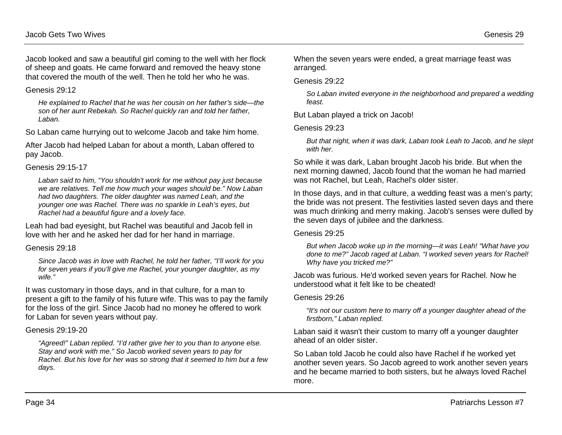Jacob looked and saw a beautiful girl coming to the well with her flock of sheep and goats. He came forward and removed the heavy stone that covered the mouth of the well. Then he told her who he was.

#### Genesis 29:12

*He explained to Rachel that he was her cousin on her father's side—the son of her aunt Rebekah. So Rachel quickly ran and told her father, Laban.*

So Laban came hurrying out to welcome Jacob and take him home.

After Jacob had helped Laban for about a month, Laban offered to pay Jacob.

#### Genesis 29:15-17

*Laban said to him, "You shouldn't work for me without pay just because we are relatives. Tell me how much your wages should be." Now Laban had two daughters. The older daughter was named Leah, and the younger one was Rachel. There was no sparkle in Leah's eyes, but Rachel had a beautiful figure and a lovely face.* 

Leah had bad eyesight, but Rachel was beautiful and Jacob fell in love with her and he asked her dad for her hand in marriage.

Genesis 29:18

*Since Jacob was in love with Rachel, he told her father, "I'll work for you for seven years if you'll give me Rachel, your younger daughter, as my wife."*

It was customary in those days, and in that culture, for a man to present a gift to the family of his future wife. This was to pay the family for the loss of the girl. Since Jacob had no money he offered to work for Laban for seven years without pay.

#### Genesis 29:19-20

*"Agreed!" Laban replied. "I'd rather give her to you than to anyone else. Stay and work with me." So Jacob worked seven years to pay for Rachel. But his love for her was so strong that it seemed to him but a few days.*

When the seven years were ended, a great marriage feast was arranged.

#### Genesis 29:22

*So Laban invited everyone in the neighborhood and prepared a wedding feast.*

But Laban played a trick on Jacob!

#### Genesis 29:23

*But that night, when it was dark, Laban took Leah to Jacob, and he slept with her.*

So while it was dark, Laban brought Jacob his bride. But when the next morning dawned, Jacob found that the woman he had married was not Rachel, but Leah, Rachel's older sister.

In those days, and in that culture, a wedding feast was a men's party; the bride was not present. The festivities lasted seven days and there was much drinking and merry making. Jacob's senses were dulled by the seven days of jubilee and the darkness.

#### Genesis 29:25

*But when Jacob woke up in the morning—it was Leah! "What have you done to me?" Jacob raged at Laban. "I worked seven years for Rachel! Why have you tricked me?"*

Jacob was furious. He'd worked seven years for Rachel. Now he understood what it felt like to be cheated!

#### Genesis 29:26

*"It's not our custom here to marry off a younger daughter ahead of the firstborn," Laban replied.*

Laban said it wasn't their custom to marry off a younger daughter ahead of an older sister.

So Laban told Jacob he could also have Rachel if he worked yet another seven years. So Jacob agreed to work another seven years and he became married to both sisters, but he always loved Rachel more.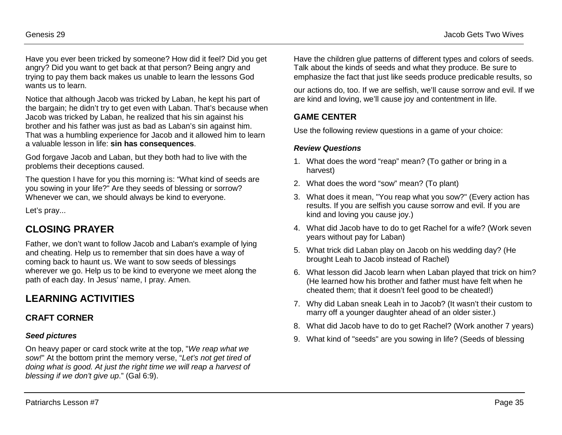Have you ever been tricked by someone? How did it feel? Did you get angry? Did you want to get back at that person? Being angry and trying to pay them back makes us unable to learn the lessons God wants us to learn.

Notice that although Jacob was tricked by Laban, he kept his part of the bargain; he didn't try to get even with Laban. That's because when Jacob was tricked by Laban, he realized that his sin against his brother and his father was just as bad as Laban's sin against him. That was a humbling experience for Jacob and it allowed him to learn a valuable lesson in life: **sin has consequences**.

God forgave Jacob and Laban, but they both had to live with the problems their deceptions caused.

The question I have for you this morning is: "What kind of seeds are you sowing in your life?" Are they seeds of blessing or sorrow? Whenever we can, we should always be kind to everyone.

Let's pray...

## **CLOSING PRAYER**

Father, we don't want to follow Jacob and Laban's example of lying and cheating. Help us to remember that sin does have a way of coming back to haunt us. We want to sow seeds of blessings wherever we go. Help us to be kind to everyone we meet along the path of each day. In Jesus' name, I pray. Amen.

# **LEARNING ACTIVITIES**

## **CRAFT CORNER**

#### *Seed pictures*

On heavy paper or card stock write at the top, "*We reap what we sow!*" At the bottom print the memory verse, "*Let's not get tired of doing what is good. At just the right time we will reap a harvest of blessing if we don't give up*." (Gal 6:9).

Have the children glue patterns of different types and colors of seeds. Talk about the kinds of seeds and what they produce. Be sure to emphasize the fact that just like seeds produce predicable results, so

our actions do, too. If we are selfish, we'll cause sorrow and evil. If we are kind and loving, we'll cause joy and contentment in life.

## **GAME CENTER**

Use the following review questions in a game of your choice:

### *Review Questions*

- 1. What does the word "reap" mean? (To gather or bring in a harvest)
- 2. What does the word "sow" mean? (To plant)
- 3. What does it mean, "You reap what you sow?" (Every action has results. If you are selfish you cause sorrow and evil. If you are kind and loving you cause joy.)
- 4. What did Jacob have to do to get Rachel for a wife? (Work seven years without pay for Laban)
- 5. What trick did Laban play on Jacob on his wedding day? (He brought Leah to Jacob instead of Rachel)
- 6. What lesson did Jacob learn when Laban played that trick on him? (He learned how his brother and father must have felt when he cheated them; that it doesn't feel good to be cheated!)
- 7. Why did Laban sneak Leah in to Jacob? (It wasn't their custom to marry off a younger daughter ahead of an older sister.)
- 8. What did Jacob have to do to get Rachel? (Work another 7 years)
- 9. What kind of "seeds" are you sowing in life? (Seeds of blessing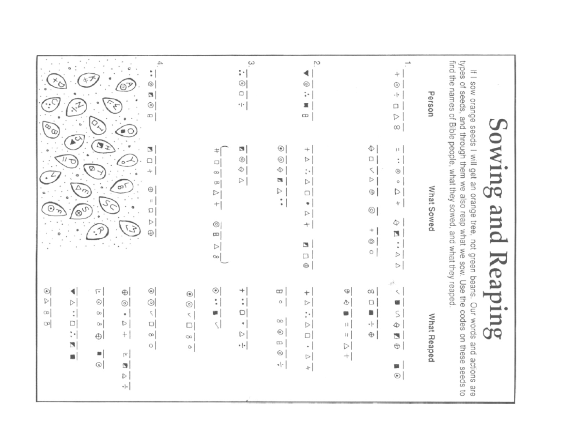| $\mathscr{D}_{\mathbb{Q}}$<br>$\mathbf{v}^{\mathbb{C}}$                                                              |                                                                   | ¢<br>້∙໐                                                                        | 4,<br>:<br>⊚<br>C)<br>⊚<br>B                                          |                                                                       |                                                                                                                          | یہ<br>$\ddot{\cdot}$<br>$^{\circ}$<br>Ο<br>$\cdot\, \cdot\>$                        |                                                        | ŗ0<br>⊚<br>;.<br>Ξ<br>$\qquad \qquad \Box$                                         |                                                      |                                                                            | ┿<br>0<br>$\cdot\!\mid\!\cdot\!\mid$<br>$\Box$<br>Þ<br>$\infty$                       | Person      |                                                                                                                                                                                                                                                                     |                       |
|----------------------------------------------------------------------------------------------------------------------|-------------------------------------------------------------------|---------------------------------------------------------------------------------|-----------------------------------------------------------------------|-----------------------------------------------------------------------|--------------------------------------------------------------------------------------------------------------------------|-------------------------------------------------------------------------------------|--------------------------------------------------------|------------------------------------------------------------------------------------|------------------------------------------------------|----------------------------------------------------------------------------|---------------------------------------------------------------------------------------|-------------|---------------------------------------------------------------------------------------------------------------------------------------------------------------------------------------------------------------------------------------------------------------------|-----------------------|
| 0                                                                                                                    | ▽                                                                 | ٥<br>oo٢                                                                        | S<br>$+$<br>⊕<br>11<br>$\Box$<br>Þ<br>$\oplus$                        |                                                                       | ≭<br>$\Box$<br>$\infty$<br>$_{\infty}$<br>▷<br>$+ \mid$<br>$_{\odot}$<br>$\hfill\square$<br>$\triangleright$<br>$\infty$ | s<br>⊚<br>Ф<br>$\triangleright$                                                     | ◉<br>$_{\odot}$<br>$\Phi$<br>ы<br>Þ<br>$\ddot{\cdot}$  | $^+$<br>Þ<br>$\ddot{\cdot}$<br>Þ<br>$\Box$<br>Þ<br>+<br>D<br>$\Box$<br>$_{\oplus}$ |                                                      | ♦<br>Ο<br>↖<br>Þ<br>$\oplus$<br>$\circ$<br>$^{+}$<br>$^{\circ}$<br>$\circ$ | $\pm 1$<br>$\ddot{\phantom{a}}$<br>⊚<br>o<br>D<br>÷<br>4<br>N<br>$\frac{1}{\nu}$<br>Þ | What Sowed  | types of seeds, and through them we also reap what we sow. Use the codes on these seeds to<br>find the names of Bible people, what they sowed, and what they reaped.<br>If I sow orange seeds I will get an orange tree, not green beans. Our words and actions are | Sowing<br>pue<br>Keap |
| $\circledcirc$<br>◀<br>D<br>D<br>$\infty$<br>$\ddot{\phantom{a}}$<br>$\Box$<br>$\infty$<br>$\ddot{\cdot}$<br>N<br>j. | $\overline{\phantom{a}}$<br>0<br>Oo.<br>œ<br>⊕<br>×<br>$_{\odot}$ | $_{\oplus}$<br>⊚<br>٠<br>Þ<br>$+ $<br>$\overline{\phantom{a}}$<br>Ŋ<br>D<br>٠١. | $_{\odot}$<br>⊚∣<br>$\overline{\zeta}$<br>O<br>$_{\infty}$<br>$\circ$ | $^\copyright$<br>$^{\circ}$<br>$\varsigma$<br>$\Box$<br>OO<br>$\circ$ | $_{\odot}$<br>$\ddot{\cdot}$<br>u<br>$\langle$                                                                           | $^{+}$<br>$\ddot{\cdot}$<br>O<br>$\bullet$<br>$\triangleright$<br>$\cdot\, \cdot\,$ | Ξ<br>o<br>$\infty$<br>⊚<br>$\Box$<br>$_{\odot}$<br>٠ ٠ | $^+$<br>Þ<br>$\frac{1}{2}$<br>$\Box$<br>$\ddot{\phantom{0}}$<br>Þ<br>$\! +$        | $\oplus$<br>♦<br>۰<br>11<br>11<br>$\triangleright$ + | œ<br>$\Box$<br>g,<br>$\cdot\,\vert\cdot$<br>$\oplus$                       | ρĶ.<br>ς<br>ű<br>S<br>$\Diamond$<br>Ń<br>$\oplus$<br>$_{\odot}$                       | What Reaped |                                                                                                                                                                                                                                                                     | ວັ⊽                   |